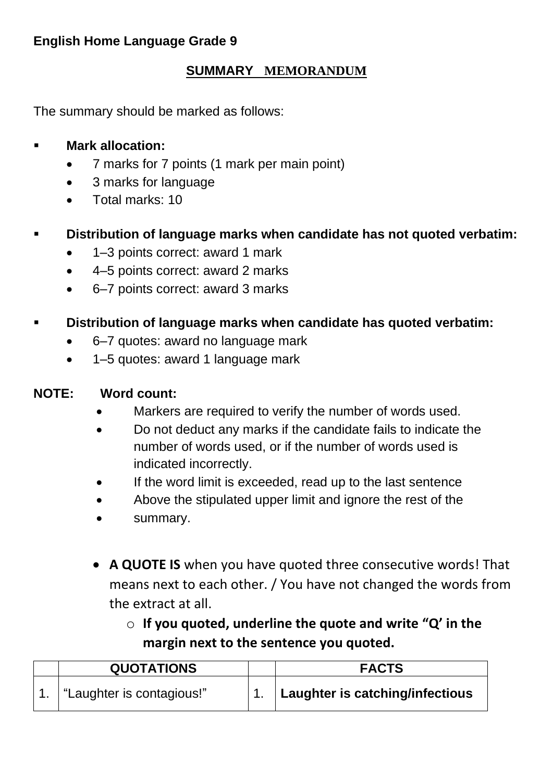# **English Home Language Grade 9**

#### **SUMMARY MEMORANDUM**

The summary should be marked as follows:

# **Mark allocation:**

- 7 marks for 7 points (1 mark per main point)
- 3 marks for language
- Total marks: 10

# ▪ **Distribution of language marks when candidate has not quoted verbatim:**

- 1–3 points correct: award 1 mark
- 4–5 points correct: award 2 marks
- 6–7 points correct: award 3 marks

# ▪ **Distribution of language marks when candidate has quoted verbatim:**

- 6–7 quotes: award no language mark
- 1–5 quotes: award 1 language mark

#### **NOTE: Word count:**

- Markers are required to verify the number of words used.
- Do not deduct any marks if the candidate fails to indicate the number of words used, or if the number of words used is indicated incorrectly.
- If the word limit is exceeded, read up to the last sentence
- Above the stipulated upper limit and ignore the rest of the
- summary.
- **A QUOTE IS** when you have quoted three consecutive words! That means next to each other. / You have not changed the words from the extract at all.
	- o **If you quoted, underline the quote and write "Q' in the margin next to the sentence you quoted.**

| <b>QUOTATIONS</b>        | <b>FACTS</b>                    |
|--------------------------|---------------------------------|
| Laughter is contagious!" | Laughter is catching/infectious |